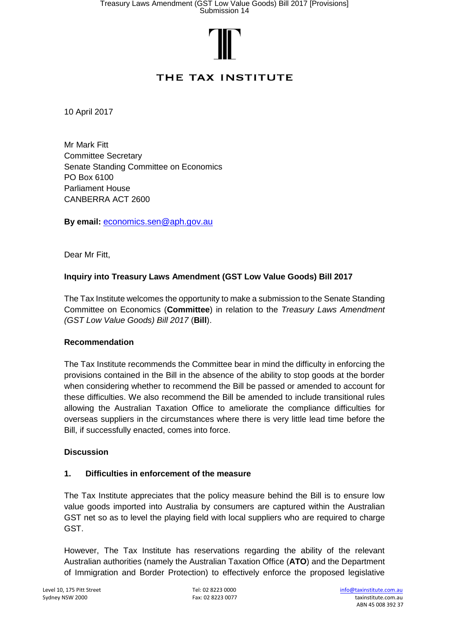

# THE TAX INSTITUTE

10 April 2017

Mr Mark Fitt Committee Secretary Senate Standing Committee on Economics PO Box 6100 Parliament House CANBERRA ACT 2600

**By email:** [economics.sen@aph.gov.au](mailto:economics.sen@aph.gov.au)

Dear Mr Fitt,

# **Inquiry into Treasury Laws Amendment (GST Low Value Goods) Bill 2017**

The Tax Institute welcomes the opportunity to make a submission to the Senate Standing Committee on Economics (**Committee**) in relation to the *Treasury Laws Amendment (GST Low Value Goods) Bill 2017* (**Bill**).

## **Recommendation**

The Tax Institute recommends the Committee bear in mind the difficulty in enforcing the provisions contained in the Bill in the absence of the ability to stop goods at the border when considering whether to recommend the Bill be passed or amended to account for these difficulties. We also recommend the Bill be amended to include transitional rules allowing the Australian Taxation Office to ameliorate the compliance difficulties for overseas suppliers in the circumstances where there is very little lead time before the Bill, if successfully enacted, comes into force.

#### **Discussion**

## **1. Difficulties in enforcement of the measure**

The Tax Institute appreciates that the policy measure behind the Bill is to ensure low value goods imported into Australia by consumers are captured within the Australian GST net so as to level the playing field with local suppliers who are required to charge GST.

However, The Tax Institute has reservations regarding the ability of the relevant Australian authorities (namely the Australian Taxation Office (**ATO**) and the Department of Immigration and Border Protection) to effectively enforce the proposed legislative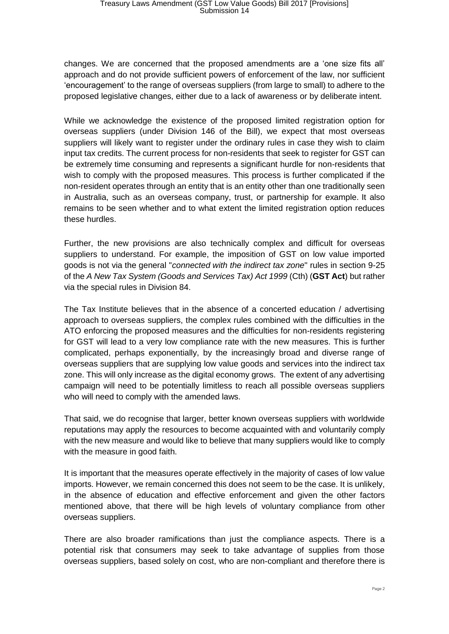changes. We are concerned that the proposed amendments are a 'one size fits all' approach and do not provide sufficient powers of enforcement of the law, nor sufficient 'encouragement' to the range of overseas suppliers (from large to small) to adhere to the proposed legislative changes, either due to a lack of awareness or by deliberate intent.

While we acknowledge the existence of the proposed limited registration option for overseas suppliers (under Division 146 of the Bill), we expect that most overseas suppliers will likely want to register under the ordinary rules in case they wish to claim input tax credits. The current process for non-residents that seek to register for GST can be extremely time consuming and represents a significant hurdle for non-residents that wish to comply with the proposed measures. This process is further complicated if the non-resident operates through an entity that is an entity other than one traditionally seen in Australia, such as an overseas company, trust, or partnership for example. It also remains to be seen whether and to what extent the limited registration option reduces these hurdles.

Further, the new provisions are also technically complex and difficult for overseas suppliers to understand. For example, the imposition of GST on low value imported goods is not via the general "*connected with the indirect tax zone*" rules in section 9-25 of the *A New Tax System (Goods and Services Tax) Act 1999* (Cth) (**GST Act**) but rather via the special rules in Division 84.

The Tax Institute believes that in the absence of a concerted education / advertising approach to overseas suppliers, the complex rules combined with the difficulties in the ATO enforcing the proposed measures and the difficulties for non-residents registering for GST will lead to a very low compliance rate with the new measures. This is further complicated, perhaps exponentially, by the increasingly broad and diverse range of overseas suppliers that are supplying low value goods and services into the indirect tax zone. This will only increase as the digital economy grows. The extent of any advertising campaign will need to be potentially limitless to reach all possible overseas suppliers who will need to comply with the amended laws.

That said, we do recognise that larger, better known overseas suppliers with worldwide reputations may apply the resources to become acquainted with and voluntarily comply with the new measure and would like to believe that many suppliers would like to comply with the measure in good faith.

It is important that the measures operate effectively in the majority of cases of low value imports. However, we remain concerned this does not seem to be the case. It is unlikely, in the absence of education and effective enforcement and given the other factors mentioned above, that there will be high levels of voluntary compliance from other overseas suppliers.

There are also broader ramifications than just the compliance aspects. There is a potential risk that consumers may seek to take advantage of supplies from those overseas suppliers, based solely on cost, who are non-compliant and therefore there is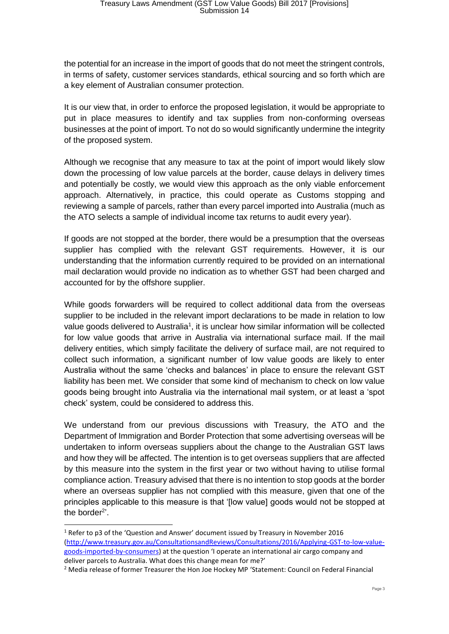the potential for an increase in the import of goods that do not meet the stringent controls, in terms of safety, customer services standards, ethical sourcing and so forth which are a key element of Australian consumer protection.

It is our view that, in order to enforce the proposed legislation, it would be appropriate to put in place measures to identify and tax supplies from non-conforming overseas businesses at the point of import. To not do so would significantly undermine the integrity of the proposed system.

Although we recognise that any measure to tax at the point of import would likely slow down the processing of low value parcels at the border, cause delays in delivery times and potentially be costly, we would view this approach as the only viable enforcement approach. Alternatively, in practice, this could operate as Customs stopping and reviewing a sample of parcels, rather than every parcel imported into Australia (much as the ATO selects a sample of individual income tax returns to audit every year).

If goods are not stopped at the border, there would be a presumption that the overseas supplier has complied with the relevant GST requirements. However, it is our understanding that the information currently required to be provided on an international mail declaration would provide no indication as to whether GST had been charged and accounted for by the offshore supplier.

While goods forwarders will be required to collect additional data from the overseas supplier to be included in the relevant import declarations to be made in relation to low value goods delivered to Australia<sup>1</sup>, it is unclear how similar information will be collected for low value goods that arrive in Australia via international surface mail. If the mail delivery entities, which simply facilitate the delivery of surface mail, are not required to collect such information, a significant number of low value goods are likely to enter Australia without the same 'checks and balances' in place to ensure the relevant GST liability has been met. We consider that some kind of mechanism to check on low value goods being brought into Australia via the international mail system, or at least a 'spot check' system, could be considered to address this.

We understand from our previous discussions with Treasury, the ATO and the Department of Immigration and Border Protection that some advertising overseas will be undertaken to inform overseas suppliers about the change to the Australian GST laws and how they will be affected. The intention is to get overseas suppliers that are affected by this measure into the system in the first year or two without having to utilise formal compliance action. Treasury advised that there is no intention to stop goods at the border where an overseas supplier has not complied with this measure, given that one of the principles applicable to this measure is that '[low value] goods would not be stopped at the border<sup>2</sup>'.

-

<sup>&</sup>lt;sup>1</sup> Refer to p3 of the 'Question and Answer' document issued by Treasury in November 2016 [\(http://www.treasury.gov.au/ConsultationsandReviews/Consultations/2016/Applying-GST-to-low-value](http://www.treasury.gov.au/ConsultationsandReviews/Consultations/2016/Applying-GST-to-low-value-goods-imported-by-consumers)[goods-imported-by-consumers\)](http://www.treasury.gov.au/ConsultationsandReviews/Consultations/2016/Applying-GST-to-low-value-goods-imported-by-consumers) at the question 'I operate an international air cargo company and deliver parcels to Australia. What does this change mean for me?'

<sup>&</sup>lt;sup>2</sup> Media release of former Treasurer the Hon Joe Hockey MP 'Statement: Council on Federal Financial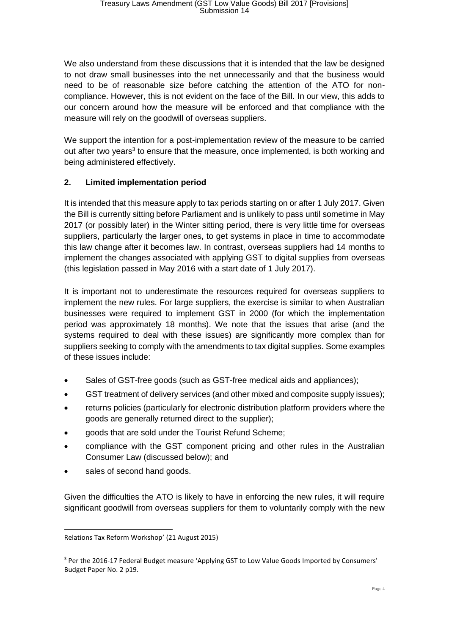We also understand from these discussions that it is intended that the law be designed to not draw small businesses into the net unnecessarily and that the business would need to be of reasonable size before catching the attention of the ATO for noncompliance. However, this is not evident on the face of the Bill. In our view, this adds to our concern around how the measure will be enforced and that compliance with the measure will rely on the goodwill of overseas suppliers.

We support the intention for a post-implementation review of the measure to be carried out after two years<sup>3</sup> to ensure that the measure, once implemented, is both working and being administered effectively.

# **2. Limited implementation period**

It is intended that this measure apply to tax periods starting on or after 1 July 2017. Given the Bill is currently sitting before Parliament and is unlikely to pass until sometime in May 2017 (or possibly later) in the Winter sitting period, there is very little time for overseas suppliers, particularly the larger ones, to get systems in place in time to accommodate this law change after it becomes law. In contrast, overseas suppliers had 14 months to implement the changes associated with applying GST to digital supplies from overseas (this legislation passed in May 2016 with a start date of 1 July 2017).

It is important not to underestimate the resources required for overseas suppliers to implement the new rules. For large suppliers, the exercise is similar to when Australian businesses were required to implement GST in 2000 (for which the implementation period was approximately 18 months). We note that the issues that arise (and the systems required to deal with these issues) are significantly more complex than for suppliers seeking to comply with the amendments to tax digital supplies. Some examples of these issues include:

- Sales of GST-free goods (such as GST-free medical aids and appliances);
- GST treatment of delivery services (and other mixed and composite supply issues);
- returns policies (particularly for electronic distribution platform providers where the goods are generally returned direct to the supplier);
- goods that are sold under the Tourist Refund Scheme;
- compliance with the GST component pricing and other rules in the Australian Consumer Law (discussed below); and
- sales of second hand goods.

1

Given the difficulties the ATO is likely to have in enforcing the new rules, it will require significant goodwill from overseas suppliers for them to voluntarily comply with the new

Relations Tax Reform Workshop' (21 August 2015)

<sup>&</sup>lt;sup>3</sup> Per the 2016-17 Federal Budget measure 'Applying GST to Low Value Goods Imported by Consumers' Budget Paper No. 2 p19.